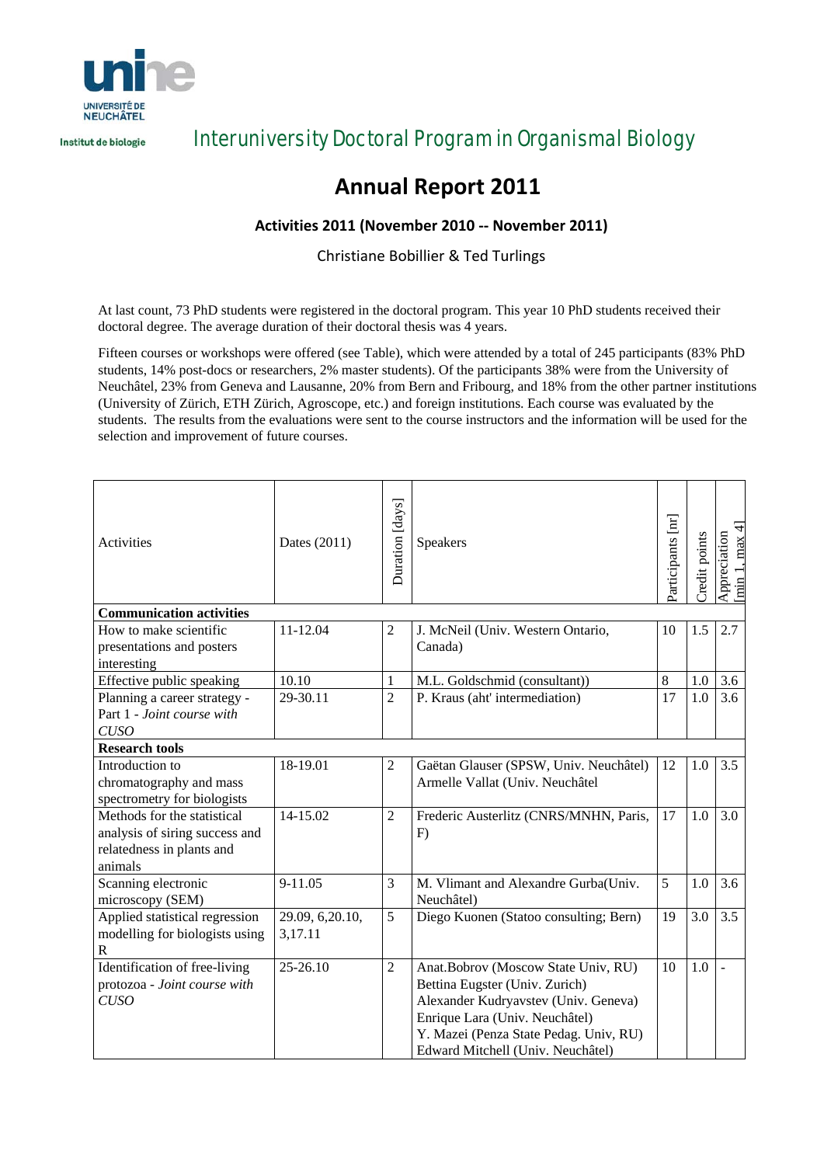

Institut de biologie

Interuniversity Doctoral Program in Organismal Biology

# **Annual Report 2011**

### **Activities 2011 (November 2010 ‐‐ November 2011)**

Christiane Bobillier & Ted Turlings

At last count, 73 PhD students were registered in the doctoral program. This year 10 PhD students received their doctoral degree. The average duration of their doctoral thesis was 4 years.

Fifteen courses or workshops were offered (see Table), which were attended by a total of 245 participants (83% PhD students, 14% post-docs or researchers, 2% master students). Of the participants 38% were from the University of Neuchâtel, 23% from Geneva and Lausanne, 20% from Bern and Fribourg, and 18% from the other partner institutions (University of Zürich, ETH Zürich, Agroscope, etc.) and foreign institutions. Each course was evaluated by the students. The results from the evaluations were sent to the course instructors and the information will be used for the selection and improvement of future courses.

| Activities                      | Dates (2011)     | Duration [days] | Speakers                               | Participants [nr] | Credit points | min 1, max 4<br>Appreciation |  |  |  |
|---------------------------------|------------------|-----------------|----------------------------------------|-------------------|---------------|------------------------------|--|--|--|
| <b>Communication activities</b> |                  |                 |                                        |                   |               |                              |  |  |  |
| How to make scientific          | 11-12.04         | $\overline{c}$  | J. McNeil (Univ. Western Ontario,      | 10                | 1.5           | 2.7                          |  |  |  |
| presentations and posters       |                  |                 | Canada)                                |                   |               |                              |  |  |  |
| interesting                     |                  |                 |                                        |                   |               |                              |  |  |  |
| Effective public speaking       | 10.10            | 1               | M.L. Goldschmid (consultant))          | $\,8\,$           | 1.0           | 3.6                          |  |  |  |
| Planning a career strategy -    | 29-30.11         | $\overline{2}$  | P. Kraus (aht' intermediation)         | 17                | 1.0           | 3.6                          |  |  |  |
| Part 1 - Joint course with      |                  |                 |                                        |                   |               |                              |  |  |  |
| <b>CUSO</b>                     |                  |                 |                                        |                   |               |                              |  |  |  |
| <b>Research tools</b>           |                  |                 |                                        |                   |               |                              |  |  |  |
| Introduction to                 | 18-19.01         | $\overline{c}$  | Gaëtan Glauser (SPSW, Univ. Neuchâtel) | 12                | 1.0           | 3.5                          |  |  |  |
| chromatography and mass         |                  |                 | Armelle Vallat (Univ. Neuchâtel        |                   |               |                              |  |  |  |
| spectrometry for biologists     |                  |                 |                                        |                   |               |                              |  |  |  |
| Methods for the statistical     | 14-15.02         | 2               | Frederic Austerlitz (CNRS/MNHN, Paris, | 17                | 1.0           | 3.0                          |  |  |  |
| analysis of siring success and  |                  |                 | F)                                     |                   |               |                              |  |  |  |
| relatedness in plants and       |                  |                 |                                        |                   |               |                              |  |  |  |
| animals                         |                  |                 |                                        |                   |               |                              |  |  |  |
| Scanning electronic             | 9-11.05          | 3               | M. Vlimant and Alexandre Gurba(Univ.   | 5                 | 1.0           | 3.6                          |  |  |  |
| microscopy (SEM)                |                  |                 | Neuchâtel)                             |                   |               |                              |  |  |  |
| Applied statistical regression  | 29.09, 6, 20.10, | 5               | Diego Kuonen (Statoo consulting; Bern) | 19                | 3.0           | 3.5                          |  |  |  |
| modelling for biologists using  | 3,17.11          |                 |                                        |                   |               |                              |  |  |  |
| $\mathbb{R}$                    |                  |                 |                                        |                   |               |                              |  |  |  |
| Identification of free-living   | 25-26.10         | $\overline{2}$  | Anat.Bobrov (Moscow State Univ, RU)    | 10                | 1.0           |                              |  |  |  |
| protozoa - Joint course with    |                  |                 | Bettina Eugster (Univ. Zurich)         |                   |               |                              |  |  |  |
| <b>CUSO</b>                     |                  |                 | Alexander Kudryavstev (Univ. Geneva)   |                   |               |                              |  |  |  |
|                                 |                  |                 | Enrique Lara (Univ. Neuchâtel)         |                   |               |                              |  |  |  |
|                                 |                  |                 | Y. Mazei (Penza State Pedag. Univ, RU) |                   |               |                              |  |  |  |
|                                 |                  |                 | Edward Mitchell (Univ. Neuchâtel)      |                   |               |                              |  |  |  |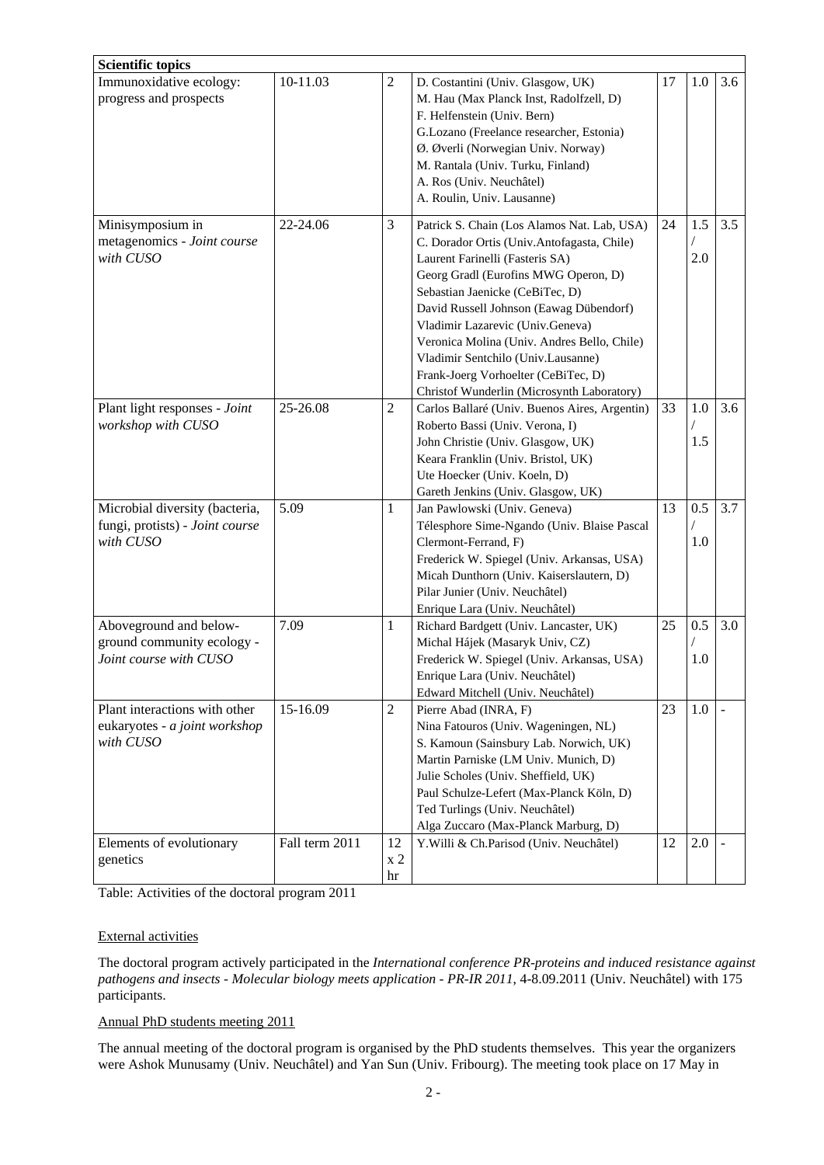| <b>Scientific topics</b>                                                       |                |                            |                                                                                                                                                                                                                                                                                                                                                                                                                                                                  |    |            |     |
|--------------------------------------------------------------------------------|----------------|----------------------------|------------------------------------------------------------------------------------------------------------------------------------------------------------------------------------------------------------------------------------------------------------------------------------------------------------------------------------------------------------------------------------------------------------------------------------------------------------------|----|------------|-----|
| Immunoxidative ecology:<br>progress and prospects                              | 10-11.03       | $\overline{c}$             | D. Costantini (Univ. Glasgow, UK)<br>M. Hau (Max Planck Inst, Radolfzell, D)<br>F. Helfenstein (Univ. Bern)<br>G.Lozano (Freelance researcher, Estonia)<br>Ø. Øverli (Norwegian Univ. Norway)<br>M. Rantala (Univ. Turku, Finland)<br>A. Ros (Univ. Neuchâtel)<br>A. Roulin, Univ. Lausanne)                                                                                                                                                                     | 17 | 1.0        | 3.6 |
| Minisymposium in<br>metagenomics - Joint course<br>with CUSO                   | 22-24.06       | 3                          | Patrick S. Chain (Los Alamos Nat. Lab, USA)<br>C. Dorador Ortis (Univ.Antofagasta, Chile)<br>Laurent Farinelli (Fasteris SA)<br>Georg Gradl (Eurofins MWG Operon, D)<br>Sebastian Jaenicke (CeBiTec, D)<br>David Russell Johnson (Eawag Dübendorf)<br>Vladimir Lazarevic (Univ.Geneva)<br>Veronica Molina (Univ. Andres Bello, Chile)<br>Vladimir Sentchilo (Univ.Lausanne)<br>Frank-Joerg Vorhoelter (CeBiTec, D)<br>Christof Wunderlin (Microsynth Laboratory) | 24 | 1.5<br>2.0 | 3.5 |
| Plant light responses - Joint<br>workshop with CUSO                            | 25-26.08       | $\overline{2}$             | Carlos Ballaré (Univ. Buenos Aires, Argentin)<br>Roberto Bassi (Univ. Verona, I)<br>John Christie (Univ. Glasgow, UK)<br>Keara Franklin (Univ. Bristol, UK)<br>Ute Hoecker (Univ. Koeln, D)<br>Gareth Jenkins (Univ. Glasgow, UK)                                                                                                                                                                                                                                | 33 | 1.0<br>1.5 | 3.6 |
| Microbial diversity (bacteria,<br>fungi, protists) - Joint course<br>with CUSO | 5.09           | $\mathbf{1}$               | Jan Pawlowski (Univ. Geneva)<br>Télesphore Sime-Ngando (Univ. Blaise Pascal<br>Clermont-Ferrand, F)<br>Frederick W. Spiegel (Univ. Arkansas, USA)<br>Micah Dunthorn (Univ. Kaiserslautern, D)<br>Pilar Junier (Univ. Neuchâtel)<br>Enrique Lara (Univ. Neuchâtel)                                                                                                                                                                                                | 13 | 0.5<br>1.0 | 3.7 |
| Aboveground and below-<br>ground community ecology -<br>Joint course with CUSO | 7.09           | $\mathbf{1}$               | Richard Bardgett (Univ. Lancaster, UK)<br>Michal Hájek (Masaryk Univ, CZ)<br>Frederick W. Spiegel (Univ. Arkansas, USA)<br>Enrique Lara (Univ. Neuchâtel)<br>Edward Mitchell (Univ. Neuchâtel)                                                                                                                                                                                                                                                                   | 25 | 0.5<br>1.0 | 3.0 |
| Plant interactions with other<br>eukaryotes - a joint workshop<br>with CUSO    | 15-16.09       | $\overline{c}$             | Pierre Abad (INRA, F)<br>Nina Fatouros (Univ. Wageningen, NL)<br>S. Kamoun (Sainsbury Lab. Norwich, UK)<br>Martin Parniske (LM Univ. Munich, D)<br>Julie Scholes (Univ. Sheffield, UK)<br>Paul Schulze-Lefert (Max-Planck Köln, D)<br>Ted Turlings (Univ. Neuchâtel)<br>Alga Zuccaro (Max-Planck Marburg, D)                                                                                                                                                     | 23 | 1.0        |     |
| Elements of evolutionary<br>genetics                                           | Fall term 2011 | 12<br>x <sub>2</sub><br>hr | Y. Willi & Ch. Parisod (Univ. Neuchâtel)                                                                                                                                                                                                                                                                                                                                                                                                                         | 12 | 2.0        |     |

Table: Activities of the doctoral program 2011

#### External activities

The doctoral program actively participated in the *International conference PR-proteins and induced resistance against pathogens and insects - Molecular biology meets application - PR-IR 2011*, 4-8.09.2011 (Univ. Neuchâtel) with 175 participants.

#### Annual PhD students meeting 2011

The annual meeting of the doctoral program is organised by the PhD students themselves. This year the organizers were Ashok Munusamy (Univ. Neuchâtel) and Yan Sun (Univ. Fribourg). The meeting took place on 17 May in